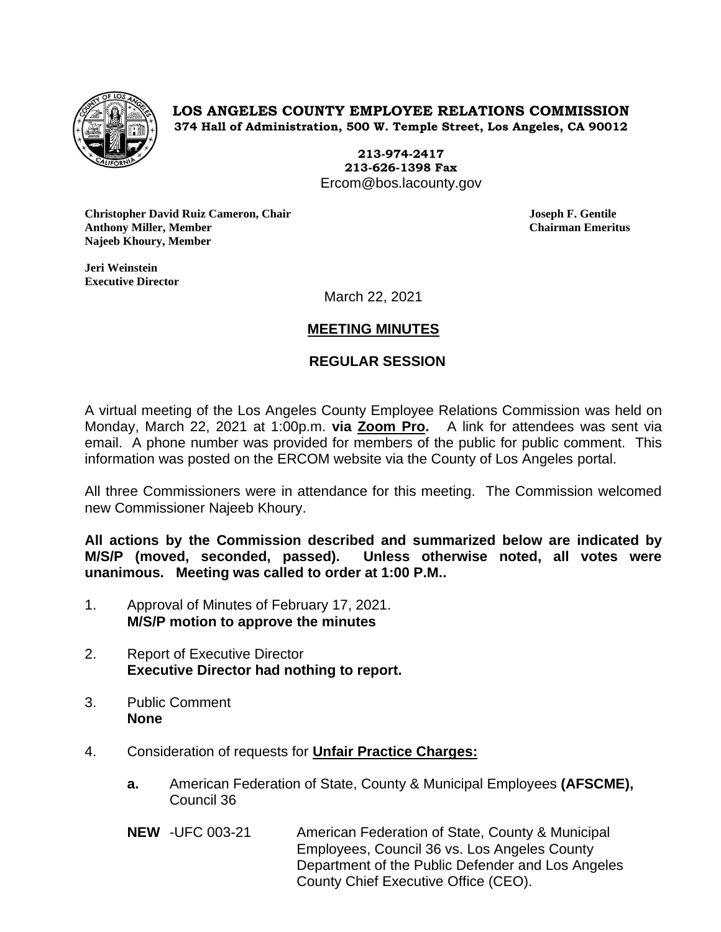

**LOS ANGELES COUNTY EMPLOYEE RELATIONS COMMISSION 374 Hall of Administration, 500 W. Temple Street, Los Angeles, CA 90012**

> **213-974-2417 213-626-1398 Fax** Ercom@bos.lacounty.gov

**Christopher David Ruiz Cameron, Chair Joseph F. Gentile Anthony Miller, Member Chairman Emeritus Najeeb Khoury, Member**

**Jeri Weinstein Executive Director** 

March 22, 2021

# **MEETING MINUTES**

## **REGULAR SESSION**

A virtual meeting of the Los Angeles County Employee Relations Commission was held on Monday, March 22, 2021 at 1:00p.m. **via Zoom Pro.** A link for attendees was sent via email. A phone number was provided for members of the public for public comment. This information was posted on the ERCOM website via the County of Los Angeles portal.

All three Commissioners were in attendance for this meeting. The Commission welcomed new Commissioner Najeeb Khoury.

**All actions by the Commission described and summarized below are indicated by M/S/P (moved, seconded, passed). Unless otherwise noted, all votes were unanimous. Meeting was called to order at 1:00 P.M..**

- 1. Approval of Minutes of February 17, 2021. **M/S/P motion to approve the minutes**
- 2. Report of Executive Director **Executive Director had nothing to report.**
- 3. Public Comment **None**
- 4. Consideration of requests for **Unfair Practice Charges:**
	- **a.** American Federation of State, County & Municipal Employees **(AFSCME),**  Council 36
	- **NEW** -UFC 003-21 American Federation of State, County & Municipal Employees, Council 36 vs. Los Angeles County Department of the Public Defender and Los Angeles County Chief Executive Office (CEO).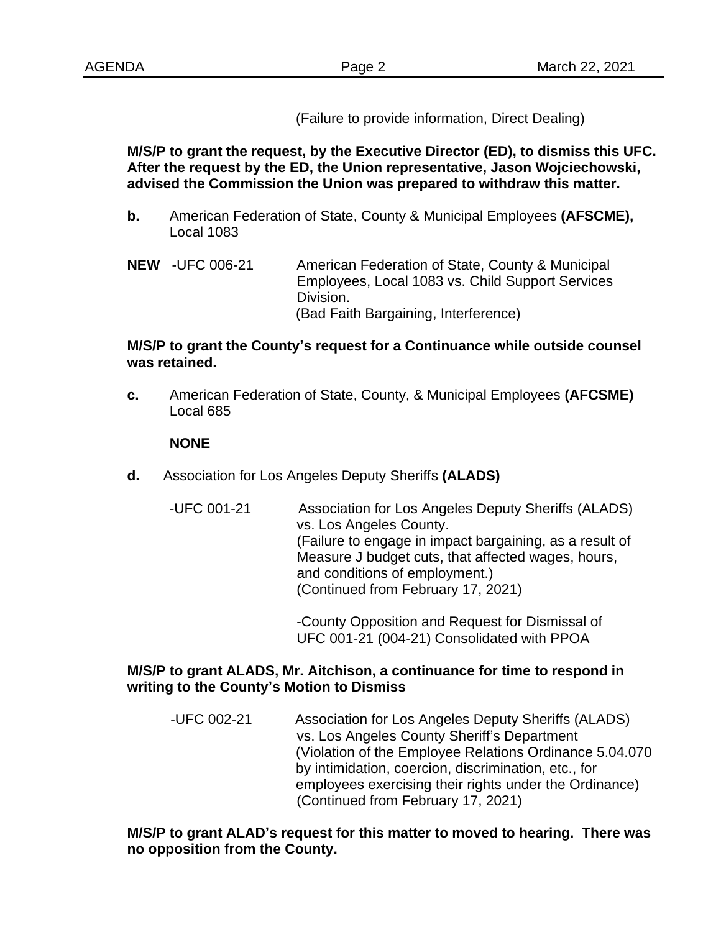(Failure to provide information, Direct Dealing)

**M/S/P to grant the request, by the Executive Director (ED), to dismiss this UFC. After the request by the ED, the Union representative, Jason Wojciechowski, advised the Commission the Union was prepared to withdraw this matter.** 

- **b.** American Federation of State, County & Municipal Employees **(AFSCME),** Local 1083
- **NEW** -UFC 006-21 American Federation of State, County & Municipal Employees, Local 1083 vs. Child Support Services Division. (Bad Faith Bargaining, Interference)

## **M/S/P to grant the County's request for a Continuance while outside counsel was retained.**

**c.** American Federation of State, County, & Municipal Employees **(AFCSME)** Local 685

#### **NONE**

**d.** Association for Los Angeles Deputy Sheriffs **(ALADS)**

-UFC 001-21 Association for Los Angeles Deputy Sheriffs (ALADS) vs. Los Angeles County. (Failure to engage in impact bargaining, as a result of Measure J budget cuts, that affected wages, hours, and conditions of employment.) (Continued from February 17, 2021)

> -County Opposition and Request for Dismissal of UFC 001-21 (004-21) Consolidated with PPOA

## **M/S/P to grant ALADS, Mr. Aitchison, a continuance for time to respond in writing to the County's Motion to Dismiss**

 -UFC 002-21 Association for Los Angeles Deputy Sheriffs (ALADS) vs. Los Angeles County Sheriff's Department (Violation of the Employee Relations Ordinance 5.04.070 by intimidation, coercion, discrimination, etc., for employees exercising their rights under the Ordinance) (Continued from February 17, 2021)

## **M/S/P to grant ALAD's request for this matter to moved to hearing. There was no opposition from the County.**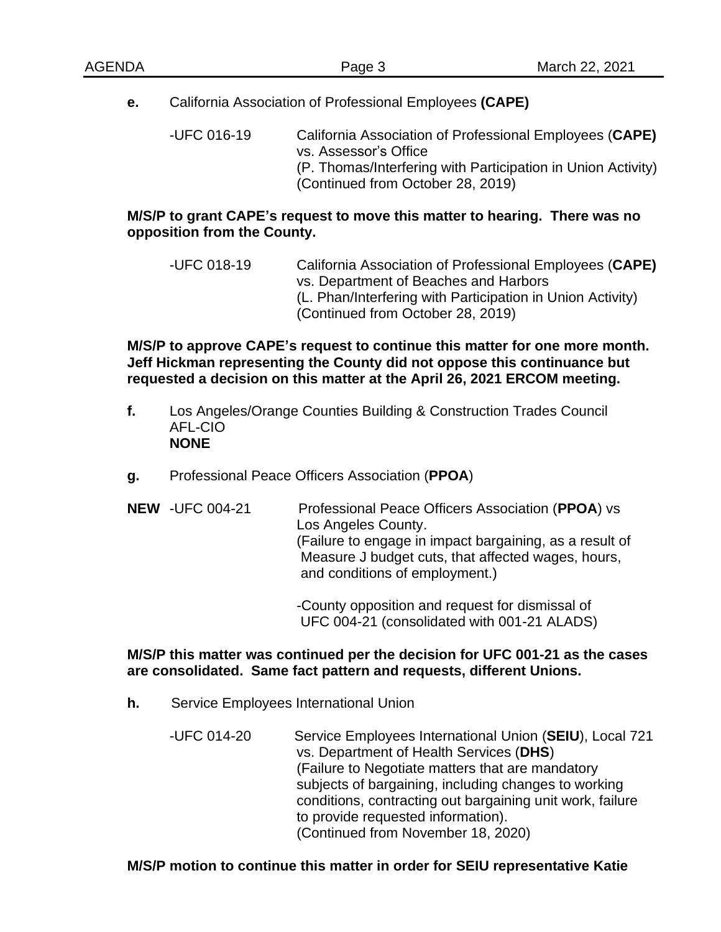**e.** California Association of Professional Employees **(CAPE)**

-UFC 016-19 California Association of Professional Employees (**CAPE)** vs. Assessor's Office (P. Thomas/Interfering with Participation in Union Activity) (Continued from October 28, 2019)

## **M/S/P to grant CAPE's request to move this matter to hearing. There was no opposition from the County.**

-UFC 018-19 California Association of Professional Employees (**CAPE)** vs. Department of Beaches and Harbors (L. Phan/Interfering with Participation in Union Activity) (Continued from October 28, 2019)

**M/S/P to approve CAPE's request to continue this matter for one more month. Jeff Hickman representing the County did not oppose this continuance but requested a decision on this matter at the April 26, 2021 ERCOM meeting.** 

- **f.** Los Angeles/Orange Counties Building & Construction Trades Council AFL-CIO **NONE**
- **g.** Professional Peace Officers Association (**PPOA**)
- **NEW** -UFC 004-21 Professional Peace Officers Association (**PPOA**) vs Los Angeles County. (Failure to engage in impact bargaining, as a result of Measure J budget cuts, that affected wages, hours, and conditions of employment.)

-County opposition and request for dismissal of UFC 004-21 (consolidated with 001-21 ALADS)

## **M/S/P this matter was continued per the decision for UFC 001-21 as the cases are consolidated. Same fact pattern and requests, different Unions.**

- **h.** Service Employees International Union
	- -UFC 014-20 Service Employees International Union (**SEIU**), Local 721 vs. Department of Health Services (**DHS**) (Failure to Negotiate matters that are mandatory subjects of bargaining, including changes to working conditions, contracting out bargaining unit work, failure to provide requested information). (Continued from November 18, 2020)

## **M/S/P motion to continue this matter in order for SEIU representative Katie**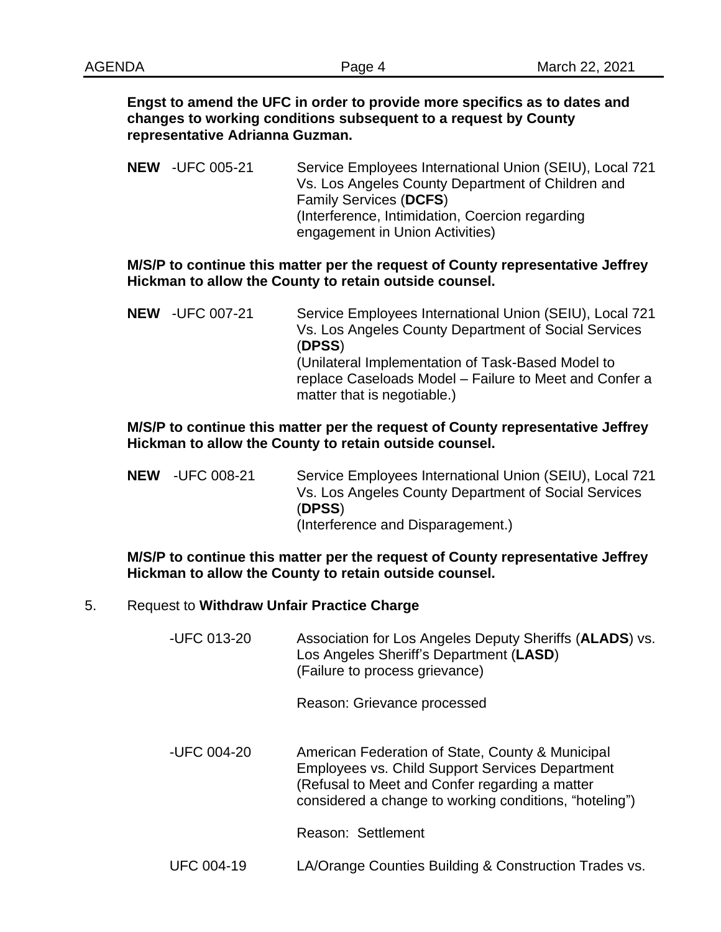#### **Engst to amend the UFC in order to provide more specifics as to dates and changes to working conditions subsequent to a request by County representative Adrianna Guzman.**

**NEW** -UFC 005-21 Service Employees International Union (SEIU), Local 721 Vs. Los Angeles County Department of Children and Family Services (**DCFS**) (Interference, Intimidation, Coercion regarding engagement in Union Activities)

#### **M/S/P to continue this matter per the request of County representative Jeffrey Hickman to allow the County to retain outside counsel.**

**NEW** -UFC 007-21 Service Employees International Union (SEIU), Local 721 Vs. Los Angeles County Department of Social Services (**DPSS**) (Unilateral Implementation of Task-Based Model to replace Caseloads Model – Failure to Meet and Confer a matter that is negotiable.)

## **M/S/P to continue this matter per the request of County representative Jeffrey Hickman to allow the County to retain outside counsel.**

**NEW** -UFC 008-21 Service Employees International Union (SEIU), Local 721 Vs. Los Angeles County Department of Social Services (**DPSS**) (Interference and Disparagement.)

#### **M/S/P to continue this matter per the request of County representative Jeffrey Hickman to allow the County to retain outside counsel.**

#### 5. Request to **Withdraw Unfair Practice Charge**

-UFC 013-20 Association for Los Angeles Deputy Sheriffs (**ALADS**) vs. Los Angeles Sheriff's Department (**LASD**) (Failure to process grievance)

Reason: Grievance processed

 -UFC 004-20 American Federation of State, County & Municipal Employees vs. Child Support Services Department (Refusal to Meet and Confer regarding a matter considered a change to working conditions, "hoteling")

Reason: Settlement

UFC 004-19 LA/Orange Counties Building & Construction Trades vs.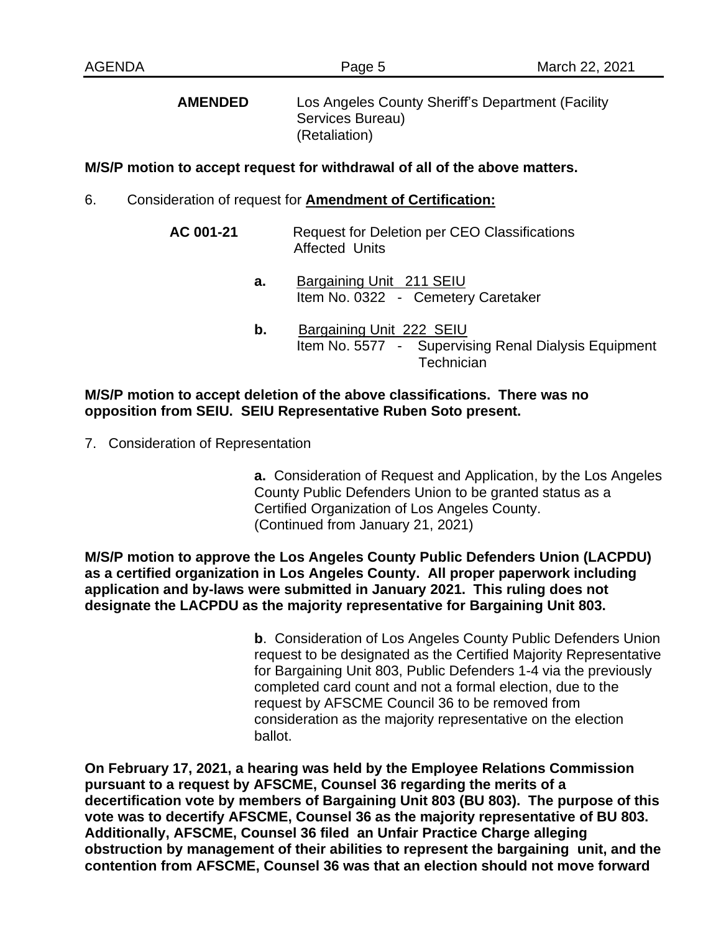**AMENDED** Los Angeles County Sheriff's Department (Facility Services Bureau) (Retaliation)

#### **M/S/P motion to accept request for withdrawal of all of the above matters.**

- 6. Consideration of request for **Amendment of Certification:**
	- **AC 001-21** Request for Deletion per CEO Classifications Affected Units
		- **a.** Bargaining Unit 211 SEIU Item No. 0322 - Cemetery Caretaker
		- **b.** Bargaining Unit 222 SEIU Item No. 5577 - Supervising Renal Dialysis Equipment **Technician**

#### **M/S/P motion to accept deletion of the above classifications. There was no opposition from SEIU. SEIU Representative Ruben Soto present.**

7. Consideration of Representation

**a.** Consideration of Request and Application, by the Los Angeles County Public Defenders Union to be granted status as a Certified Organization of Los Angeles County. (Continued from January 21, 2021)

**M/S/P motion to approve the Los Angeles County Public Defenders Union (LACPDU) as a certified organization in Los Angeles County. All proper paperwork including application and by-laws were submitted in January 2021. This ruling does not designate the LACPDU as the majority representative for Bargaining Unit 803.** 

> **b**. Consideration of Los Angeles County Public Defenders Union request to be designated as the Certified Majority Representative for Bargaining Unit 803, Public Defenders 1-4 via the previously completed card count and not a formal election, due to the request by AFSCME Council 36 to be removed from consideration as the majority representative on the election ballot.

**On February 17, 2021, a hearing was held by the Employee Relations Commission pursuant to a request by AFSCME, Counsel 36 regarding the merits of a decertification vote by members of Bargaining Unit 803 (BU 803). The purpose of this vote was to decertify AFSCME, Counsel 36 as the majority representative of BU 803. Additionally, AFSCME, Counsel 36 filed an Unfair Practice Charge alleging obstruction by management of their abilities to represent the bargaining unit, and the contention from AFSCME, Counsel 36 was that an election should not move forward**